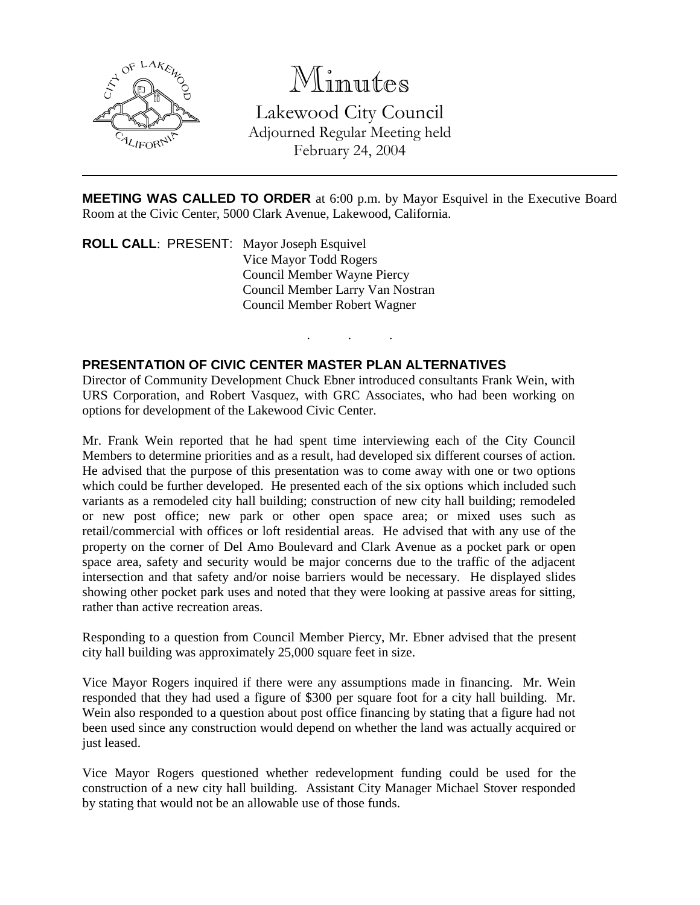

# Minutes

Lakewood City Council Adjourned Regular Meeting held February 24, 2004

**MEETING WAS CALLED TO ORDER** at 6:00 p.m. by Mayor Esquivel in the Executive Board Room at the Civic Center, 5000 Clark Avenue, Lakewood, California.

. . .

**ROLL CALL**: PRESENT: Mayor Joseph Esquivel Vice Mayor Todd Rogers Council Member Wayne Piercy Council Member Larry Van Nostran Council Member Robert Wagner

### **PRESENTATION OF CIVIC CENTER MASTER PLAN ALTERNATIVES**

Director of Community Development Chuck Ebner introduced consultants Frank Wein, with URS Corporation, and Robert Vasquez, with GRC Associates, who had been working on options for development of the Lakewood Civic Center.

Mr. Frank Wein reported that he had spent time interviewing each of the City Council Members to determine priorities and as a result, had developed six different courses of action. He advised that the purpose of this presentation was to come away with one or two options which could be further developed. He presented each of the six options which included such variants as a remodeled city hall building; construction of new city hall building; remodeled or new post office; new park or other open space area; or mixed uses such as retail/commercial with offices or loft residential areas. He advised that with any use of the property on the corner of Del Amo Boulevard and Clark Avenue as a pocket park or open space area, safety and security would be major concerns due to the traffic of the adjacent intersection and that safety and/or noise barriers would be necessary. He displayed slides showing other pocket park uses and noted that they were looking at passive areas for sitting, rather than active recreation areas.

Responding to a question from Council Member Piercy, Mr. Ebner advised that the present city hall building was approximately 25,000 square feet in size.

Vice Mayor Rogers inquired if there were any assumptions made in financing. Mr. Wein responded that they had used a figure of \$300 per square foot for a city hall building. Mr. Wein also responded to a question about post office financing by stating that a figure had not been used since any construction would depend on whether the land was actually acquired or just leased.

Vice Mayor Rogers questioned whether redevelopment funding could be used for the construction of a new city hall building. Assistant City Manager Michael Stover responded by stating that would not be an allowable use of those funds.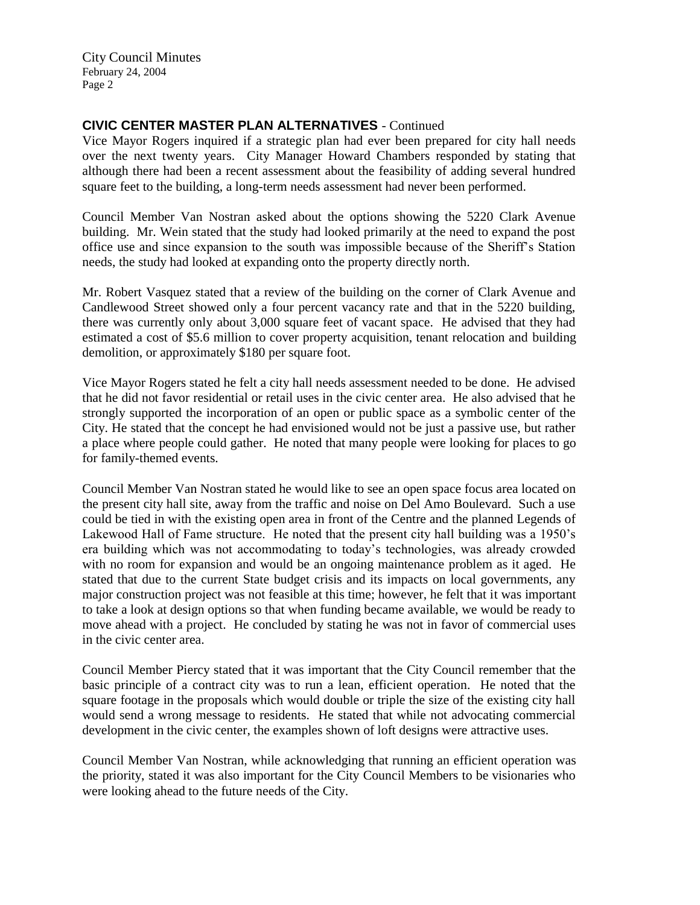# **CIVIC CENTER MASTER PLAN ALTERNATIVES** - Continued

Vice Mayor Rogers inquired if a strategic plan had ever been prepared for city hall needs over the next twenty years. City Manager Howard Chambers responded by stating that although there had been a recent assessment about the feasibility of adding several hundred square feet to the building, a long-term needs assessment had never been performed.

Council Member Van Nostran asked about the options showing the 5220 Clark Avenue building. Mr. Wein stated that the study had looked primarily at the need to expand the post office use and since expansion to the south was impossible because of the Sheriff's Station needs, the study had looked at expanding onto the property directly north.

Mr. Robert Vasquez stated that a review of the building on the corner of Clark Avenue and Candlewood Street showed only a four percent vacancy rate and that in the 5220 building, there was currently only about 3,000 square feet of vacant space. He advised that they had estimated a cost of \$5.6 million to cover property acquisition, tenant relocation and building demolition, or approximately \$180 per square foot.

Vice Mayor Rogers stated he felt a city hall needs assessment needed to be done. He advised that he did not favor residential or retail uses in the civic center area. He also advised that he strongly supported the incorporation of an open or public space as a symbolic center of the City. He stated that the concept he had envisioned would not be just a passive use, but rather a place where people could gather. He noted that many people were looking for places to go for family-themed events.

Council Member Van Nostran stated he would like to see an open space focus area located on the present city hall site, away from the traffic and noise on Del Amo Boulevard. Such a use could be tied in with the existing open area in front of the Centre and the planned Legends of Lakewood Hall of Fame structure. He noted that the present city hall building was a 1950's era building which was not accommodating to today's technologies, was already crowded with no room for expansion and would be an ongoing maintenance problem as it aged. He stated that due to the current State budget crisis and its impacts on local governments, any major construction project was not feasible at this time; however, he felt that it was important to take a look at design options so that when funding became available, we would be ready to move ahead with a project. He concluded by stating he was not in favor of commercial uses in the civic center area.

Council Member Piercy stated that it was important that the City Council remember that the basic principle of a contract city was to run a lean, efficient operation. He noted that the square footage in the proposals which would double or triple the size of the existing city hall would send a wrong message to residents. He stated that while not advocating commercial development in the civic center, the examples shown of loft designs were attractive uses.

Council Member Van Nostran, while acknowledging that running an efficient operation was the priority, stated it was also important for the City Council Members to be visionaries who were looking ahead to the future needs of the City.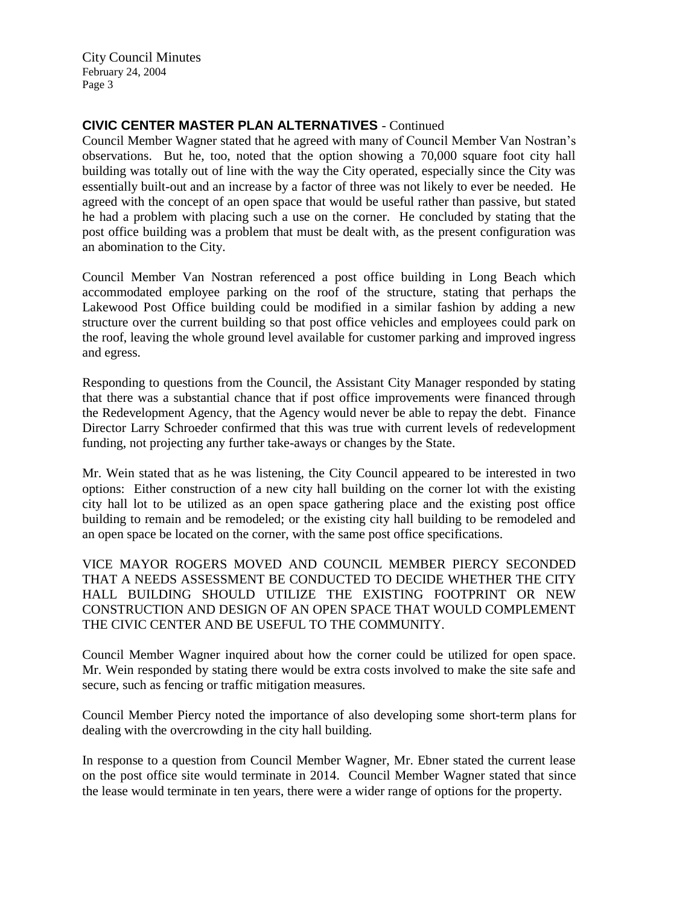# **CIVIC CENTER MASTER PLAN ALTERNATIVES** - Continued

Council Member Wagner stated that he agreed with many of Council Member Van Nostran's observations. But he, too, noted that the option showing a 70,000 square foot city hall building was totally out of line with the way the City operated, especially since the City was essentially built-out and an increase by a factor of three was not likely to ever be needed. He agreed with the concept of an open space that would be useful rather than passive, but stated he had a problem with placing such a use on the corner. He concluded by stating that the post office building was a problem that must be dealt with, as the present configuration was an abomination to the City.

Council Member Van Nostran referenced a post office building in Long Beach which accommodated employee parking on the roof of the structure, stating that perhaps the Lakewood Post Office building could be modified in a similar fashion by adding a new structure over the current building so that post office vehicles and employees could park on the roof, leaving the whole ground level available for customer parking and improved ingress and egress.

Responding to questions from the Council, the Assistant City Manager responded by stating that there was a substantial chance that if post office improvements were financed through the Redevelopment Agency, that the Agency would never be able to repay the debt. Finance Director Larry Schroeder confirmed that this was true with current levels of redevelopment funding, not projecting any further take-aways or changes by the State.

Mr. Wein stated that as he was listening, the City Council appeared to be interested in two options: Either construction of a new city hall building on the corner lot with the existing city hall lot to be utilized as an open space gathering place and the existing post office building to remain and be remodeled; or the existing city hall building to be remodeled and an open space be located on the corner, with the same post office specifications.

VICE MAYOR ROGERS MOVED AND COUNCIL MEMBER PIERCY SECONDED THAT A NEEDS ASSESSMENT BE CONDUCTED TO DECIDE WHETHER THE CITY HALL BUILDING SHOULD UTILIZE THE EXISTING FOOTPRINT OR NEW CONSTRUCTION AND DESIGN OF AN OPEN SPACE THAT WOULD COMPLEMENT THE CIVIC CENTER AND BE USEFUL TO THE COMMUNITY.

Council Member Wagner inquired about how the corner could be utilized for open space. Mr. Wein responded by stating there would be extra costs involved to make the site safe and secure, such as fencing or traffic mitigation measures.

Council Member Piercy noted the importance of also developing some short-term plans for dealing with the overcrowding in the city hall building.

In response to a question from Council Member Wagner, Mr. Ebner stated the current lease on the post office site would terminate in 2014. Council Member Wagner stated that since the lease would terminate in ten years, there were a wider range of options for the property.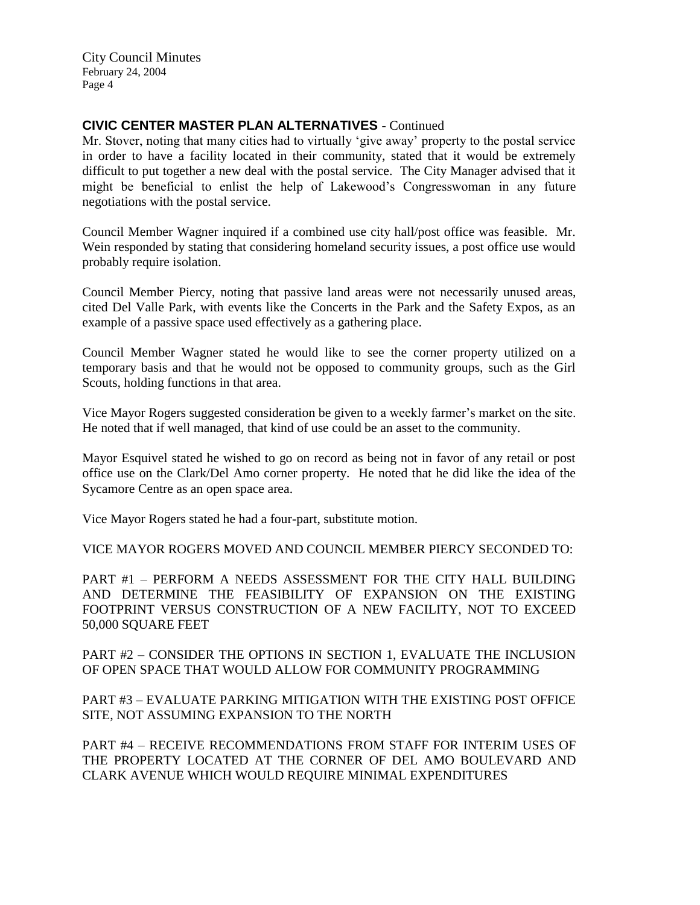### **CIVIC CENTER MASTER PLAN ALTERNATIVES** - Continued

Mr. Stover, noting that many cities had to virtually 'give away' property to the postal service in order to have a facility located in their community, stated that it would be extremely difficult to put together a new deal with the postal service. The City Manager advised that it might be beneficial to enlist the help of Lakewood's Congresswoman in any future negotiations with the postal service.

Council Member Wagner inquired if a combined use city hall/post office was feasible. Mr. Wein responded by stating that considering homeland security issues, a post office use would probably require isolation.

Council Member Piercy, noting that passive land areas were not necessarily unused areas, cited Del Valle Park, with events like the Concerts in the Park and the Safety Expos, as an example of a passive space used effectively as a gathering place.

Council Member Wagner stated he would like to see the corner property utilized on a temporary basis and that he would not be opposed to community groups, such as the Girl Scouts, holding functions in that area.

Vice Mayor Rogers suggested consideration be given to a weekly farmer's market on the site. He noted that if well managed, that kind of use could be an asset to the community.

Mayor Esquivel stated he wished to go on record as being not in favor of any retail or post office use on the Clark/Del Amo corner property. He noted that he did like the idea of the Sycamore Centre as an open space area.

Vice Mayor Rogers stated he had a four-part, substitute motion.

VICE MAYOR ROGERS MOVED AND COUNCIL MEMBER PIERCY SECONDED TO:

PART #1 – PERFORM A NEEDS ASSESSMENT FOR THE CITY HALL BUILDING AND DETERMINE THE FEASIBILITY OF EXPANSION ON THE EXISTING FOOTPRINT VERSUS CONSTRUCTION OF A NEW FACILITY, NOT TO EXCEED 50,000 SQUARE FEET

PART #2 – CONSIDER THE OPTIONS IN SECTION 1, EVALUATE THE INCLUSION OF OPEN SPACE THAT WOULD ALLOW FOR COMMUNITY PROGRAMMING

PART #3 – EVALUATE PARKING MITIGATION WITH THE EXISTING POST OFFICE SITE, NOT ASSUMING EXPANSION TO THE NORTH

PART #4 – RECEIVE RECOMMENDATIONS FROM STAFF FOR INTERIM USES OF THE PROPERTY LOCATED AT THE CORNER OF DEL AMO BOULEVARD AND CLARK AVENUE WHICH WOULD REQUIRE MINIMAL EXPENDITURES